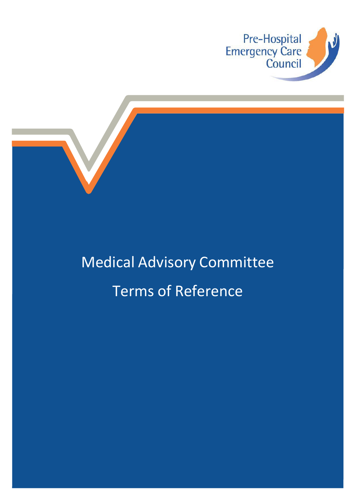

# Medical Advisory Committee Terms of Reference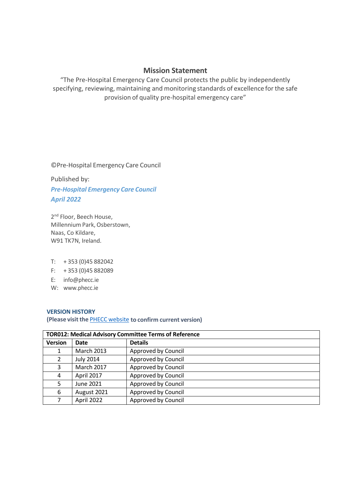## **Mission Statement**

"The Pre-Hospital Emergency Care Council protects the public by independently specifying, reviewing, maintaining and monitoring standards of excellence forthe safe provision of quality pre-hospital emergency care"

©Pre-Hospital Emergency Care Council

Published by: *Pre-Hospital Emergency Care Council April 2022*

2<sup>nd</sup> Floor, Beech House, Millennium Park, Osberstown, Naas, Co Kildare, W91 TK7N, Ireland.

#### T: + 353 (0)45 882042

- F: + 353 (0)45 882089
- E: [info@phecc.ie](mailto:info@phecc.ie)
- W: [www.phecc.ie](http://www.phecc.ie/)

#### **VERSION HISTORY**

**(Please visit the** PHECC [website](http://www.phecit.ie/PHECC/Clinical_resources/Clinical_Standards/PHECC/Clinical_Resources/Clinical_Standards/Clinical_Standards.aspx?Hkey=8a152974-f9b2-4294-b14d-09aa23d6403e) **to confirm current version)**

| <b>TOR012: Medical Advisory Committee Terms of Reference</b> |                   |                     |
|--------------------------------------------------------------|-------------------|---------------------|
| <b>Version</b>                                               | Date              | <b>Details</b>      |
| 1                                                            | <b>March 2013</b> | Approved by Council |
| 2                                                            | <b>July 2014</b>  | Approved by Council |
| 3                                                            | <b>March 2017</b> | Approved by Council |
| 4                                                            | April 2017        | Approved by Council |
| 5                                                            | June 2021         | Approved by Council |
| 6                                                            | August 2021       | Approved by Council |
|                                                              | April 2022        | Approved by Council |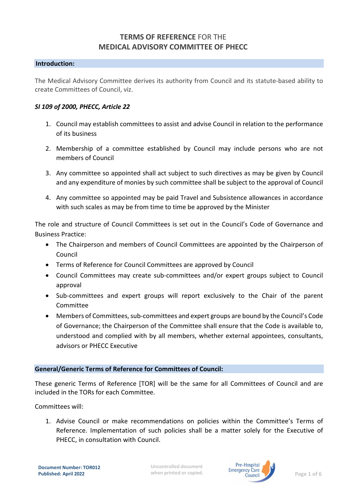# **TERMS OF REFERENCE** FOR THE **MEDICAL ADVISORY COMMITTEE OF PHECC**

## **Introduction:**

The Medical Advisory Committee derives its authority from Council and its statute-based ability to create Committees of Council, viz.

## *SI 109 of 2000, PHECC, Article 22*

- 1. Council may establish committees to assist and advise Council in relation to the performance of its business
- 2. Membership of a committee established by Council may include persons who are not members of Council
- 3. Any committee so appointed shall act subject to such directives as may be given by Council and any expenditure of monies by such committee shall be subject to the approval of Council
- 4. Any committee so appointed may be paid Travel and Subsistence allowances in accordance with such scales as may be from time to time be approved by the Minister

The role and structure of Council Committees is set out in the Council's Code of Governance and Business Practice:

- The Chairperson and members of Council Committees are appointed by the Chairperson of Council
- Terms of Reference for Council Committees are approved by Council
- Council Committees may create sub-committees and/or expert groups subject to Council approval
- Sub-committees and expert groups will report exclusively to the Chair of the parent Committee
- Members of Committees, sub-committees and expert groups are bound by the Council's Code of Governance; the Chairperson of the Committee shall ensure that the Code is available to, understood and complied with by all members, whether external appointees, consultants, advisors or PHECC Executive

## **General/Generic Terms of Reference for Committees of Council:**

These generic Terms of Reference [TOR] will be the same for all Committees of Council and are included in the TORs for each Committee.

Committees will:

1. Advise Council or make recommendations on policies within the Committee's Terms of Reference. Implementation of such policies shall be a matter solely for the Executive of PHECC, in consultation with Council.

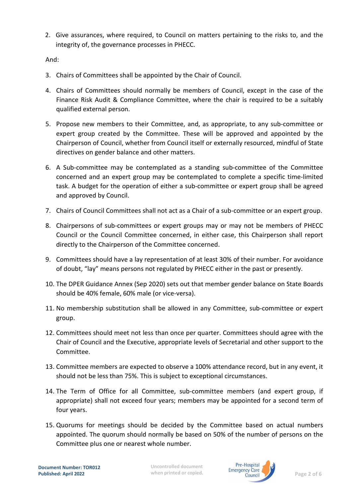2. Give assurances, where required, to Council on matters pertaining to the risks to, and the integrity of, the governance processes in PHECC.

And:

- 3. Chairs of Committees shall be appointed by the Chair of Council.
- 4. Chairs of Committees should normally be members of Council, except in the case of the Finance Risk Audit & Compliance Committee, where the chair is required to be a suitably qualified external person.
- 5. Propose new members to their Committee, and, as appropriate, to any sub-committee or expert group created by the Committee. These will be approved and appointed by the Chairperson of Council, whether from Council itself or externally resourced, mindful of State directives on gender balance and other matters.
- 6. A Sub-committee may be contemplated as a standing sub-committee of the Committee concerned and an expert group may be contemplated to complete a specific time-limited task. A budget for the operation of either a sub-committee or expert group shall be agreed and approved by Council.
- 7. Chairs of Council Committees shall not act as a Chair of a sub-committee or an expert group.
- 8. Chairpersons of sub-committees or expert groups may or may not be members of PHECC Council or the Council Committee concerned, in either case, this Chairperson shall report directly to the Chairperson of the Committee concerned.
- 9. Committees should have a lay representation of at least 30% of their number. For avoidance of doubt, "lay" means persons not regulated by PHECC either in the past or presently.
- 10. The DPER Guidance Annex (Sep 2020) sets out that member gender balance on State Boards should be 40% female, 60% male (or vice-versa).
- 11. No membership substitution shall be allowed in any Committee, sub-committee or expert group.
- 12. Committees should meet not less than once per quarter. Committees should agree with the Chair of Council and the Executive, appropriate levels of Secretarial and other support to the Committee.
- 13. Committee members are expected to observe a 100% attendance record, but in any event, it should not be less than 75%. This is subject to exceptional circumstances.
- 14. The Term of Office for all Committee, sub-committee members (and expert group, if appropriate) shall not exceed four years; members may be appointed for a second term of four years.
- 15. Quorums for meetings should be decided by the Committee based on actual numbers appointed. The quorum should normally be based on 50% of the number of persons on the Committee plus one or nearest whole number.

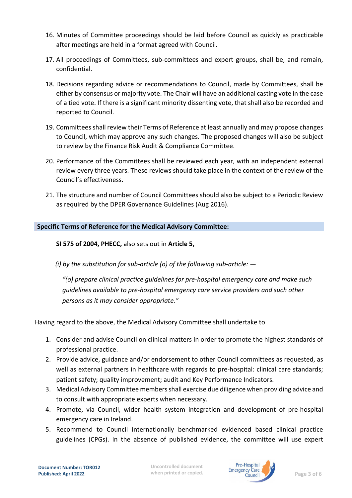- 16. Minutes of Committee proceedings should be laid before Council as quickly as practicable after meetings are held in a format agreed with Council.
- 17. All proceedings of Committees, sub-committees and expert groups, shall be, and remain, confidential.
- 18. Decisions regarding advice or recommendations to Council, made by Committees, shall be either by consensus or majority vote. The Chair will have an additional casting vote in the case of a tied vote. If there is a significant minority dissenting vote, that shall also be recorded and reported to Council.
- 19. Committees shall review their Terms of Reference at least annually and may propose changes to Council, which may approve any such changes. The proposed changes will also be subject to review by the Finance Risk Audit & Compliance Committee.
- 20. Performance of the Committees shall be reviewed each year, with an independent external review every three years. These reviews should take place in the context of the review of the Council's effectiveness.
- 21. The structure and number of Council Committees should also be subject to a Periodic Review as required by the DPER Governance Guidelines (Aug 2016).

## **Specific Terms of Reference for the Medical Advisory Committee:**

**SI 575 of 2004, PHECC,** also sets out in **Article 5,** 

*(i) by the substitution for sub-article (o) of the following sub-article: —* 

*"(o) prepare clinical practice guidelines for pre-hospital emergency care and make such guidelines available to pre-hospital emergency care service providers and such other persons as it may consider appropriate."*

Having regard to the above, the Medical Advisory Committee shall undertake to

- 1. Consider and advise Council on clinical matters in order to promote the highest standards of professional practice.
- 2. Provide advice, guidance and/or endorsement to other Council committees as requested, as well as external partners in healthcare with regards to pre-hospital: clinical care standards; patient safety; quality improvement; audit and Key Performance Indicators.
- 3. Medical Advisory Committee members shall exercise due diligence when providing advice and to consult with appropriate experts when necessary.
- 4. Promote, via Council, wider health system integration and development of pre-hospital emergency care in Ireland.
- 5. Recommend to Council internationally benchmarked evidenced based clinical practice guidelines (CPGs). In the absence of published evidence, the committee will use expert

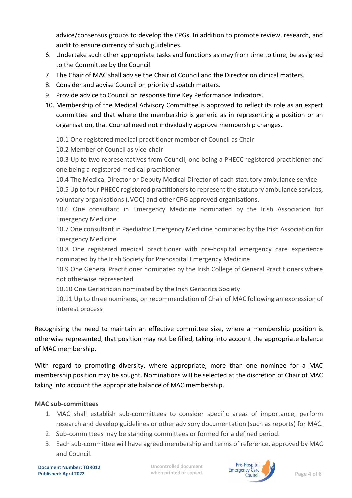advice/consensus groups to develop the CPGs. In addition to promote review, research, and audit to ensure currency of such guidelines.

- 6. Undertake such other appropriate tasks and functions as may from time to time, be assigned to the Committee by the Council.
- 7. The Chair of MAC shall advise the Chair of Council and the Director on clinical matters.
- 8. Consider and advise Council on priority dispatch matters.
- 9. Provide advice to Council on response time Key Performance Indicators.
- 10. Membership of the Medical Advisory Committee is approved to reflect its role as an expert committee and that where the membership is generic as in representing a position or an organisation, that Council need not individually approve membership changes.

10.1 One registered medical practitioner member of Council as Chair

10.2 Member of Council as vice-chair

10.3 Up to two representatives from Council, one being a PHECC registered practitioner and one being a registered medical practitioner

10.4 The Medical Director or Deputy Medical Director of each statutory ambulance service 10.5 Up to four PHECC registered practitioners to represent the statutory ambulance services, voluntary organisations (JVOC) and other CPG approved organisations.

10.6 One consultant in Emergency Medicine nominated by the Irish Association for Emergency Medicine

10.7 One consultant in Paediatric Emergency Medicine nominated by the Irish Association for Emergency Medicine

10.8 One registered medical practitioner with pre-hospital emergency care experience nominated by the Irish Society for Prehospital Emergency Medicine

10.9 One General Practitioner nominated by the Irish College of General Practitioners where not otherwise represented

10.10 One Geriatrician nominated by the Irish Geriatrics Society

10.11 Up to three nominees, on recommendation of Chair of MAC following an expression of interest process

Recognising the need to maintain an effective committee size, where a membership position is otherwise represented, that position may not be filled, taking into account the appropriate balance of MAC membership.

With regard to promoting diversity, where appropriate, more than one nominee for a MAC membership position may be sought. Nominations will be selected at the discretion of Chair of MAC taking into account the appropriate balance of MAC membership.

## **MAC sub-committees**

- 1. MAC shall establish sub-committees to consider specific areas of importance, perform research and develop guidelines or other advisory documentation (such as reports) for MAC.
- 2. Sub-committees may be standing committees or formed for a defined period.
- 3. Each sub-committee will have agreed membership and terms of reference, approved by MAC and Council.

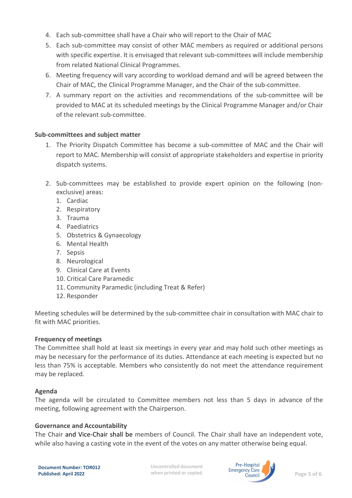- 4. Each sub-committee shall have a Chair who will report to the Chair of MAC
- 5. Each sub-committee may consist of other MAC members as required or additional persons with specific expertise. It is envisaged that relevant sub-committees will include membership from related National Clinical Programmes.
- 6. Meeting frequency will vary according to workload demand and will be agreed between the Chair of MAC, the Clinical Programme Manager, and the Chair of the sub-committee.
- 7. A summary report on the activities and recommendations of the sub-committee will be provided to MAC at its scheduled meetings by the Clinical Programme Manager and/or Chair of the relevant sub-committee.

## **Sub-committees and subject matter**

- 1. The Priority Dispatch Committee has become a sub-committee of MAC and the Chair will report to MAC. Membership will consist of appropriate stakeholders and expertise in priority dispatch systems.
- 2. Sub-committees may be established to provide expert opinion on the following (nonexclusive) areas:
	- 1. Cardiac
	- 2. Respiratory
	- 3. Trauma
	- 4. Paediatrics
	- 5. Obstetrics & Gynaecology
	- 6. Mental Health
	- 7. Sepsis
	- 8. Neurological
	- 9. Clinical Care at Events
	- 10. Critical Care Paramedic
	- 11. Community Paramedic (including Treat & Refer)
	- 12. Responder

Meeting schedules will be determined by the sub-committee chair in consultation with MAC chair to fit with MAC priorities.

## **Frequency of meetings**

The Committee shall hold at least six meetings in every year and may hold such other meetings as may be necessary for the performance of its duties. Attendance at each meeting is expected but no less than 75% is acceptable. Members who consistently do not meet the attendance requirement may be replaced.

## **Agenda**

The agenda will be circulated to Committee members not less than 5 days in advance of the meeting, following agreement with the Chairperson.

## **Governance and Accountability**

The Chair and Vice-Chair shall be members of Council. The Chair shall have an independent vote, while also having a casting vote in the event of the votes on any matter otherwise being equal.

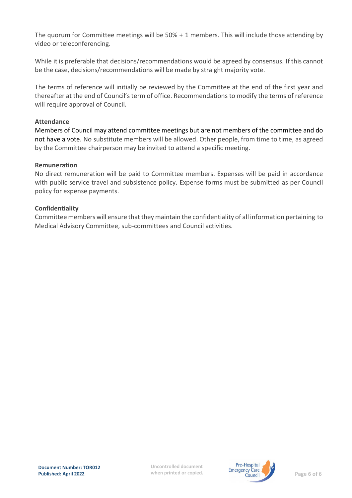The quorum for Committee meetings will be 50% + 1 members. This will include those attending by video or teleconferencing.

While it is preferable that decisions/recommendations would be agreed by consensus. If this cannot be the case, decisions/recommendations will be made by straight majority vote.

The terms of reference will initially be reviewed by the Committee at the end of the first year and thereafter at the end of Council's term of office. Recommendations to modify the terms of reference will require approval of Council.

## **Attendance**

Members of Council may attend committee meetings but are not members of the committee and do not have a vote. No substitute members will be allowed. Other people, from time to time, as agreed by the Committee chairperson may be invited to attend a specific meeting.

## **Remuneration**

No direct remuneration will be paid to Committee members. Expenses will be paid in accordance with public service travel and subsistence policy. Expense forms must be submitted as per Council policy for expense payments.

## **Confidentiality**

Committee members will ensure that they maintain the confidentiality of all information pertaining to Medical Advisory Committee, sub-committees and Council activities.

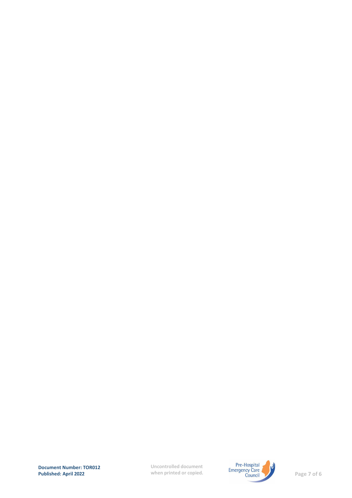